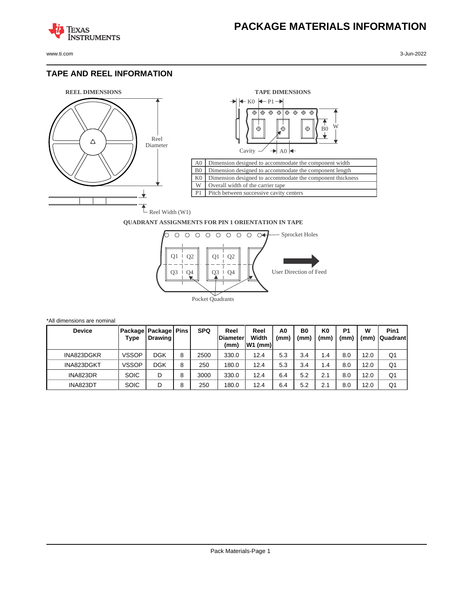

**TEXAS** 

## **TAPE AND REEL INFORMATION**

**STRUMENTS** 



\*All dimensions are nominal



## **QUADRANT ASSIGNMENTS FOR PIN 1 ORIENTATION IN TAPE**



| <b>Device</b> | Type         | Package   Package   Pins<br>Drawing |   | <b>SPQ</b> | Reel<br><b>Diameter</b><br>(mm) | Reel<br>Width<br>W1 (mm) | A0<br>(mm) | B <sub>0</sub><br>(mm) | K0<br>(mm) | P <sub>1</sub><br>(mm` | W<br>(mm) | Pin1<br><b>Quadrant</b> |
|---------------|--------------|-------------------------------------|---|------------|---------------------------------|--------------------------|------------|------------------------|------------|------------------------|-----------|-------------------------|
| INA823DGKR    | <b>VSSOP</b> | DGK                                 | 8 | 2500       | 330.0                           | 12.4                     | 5.3        | 3.4                    | 1.4        | 8.0                    | 12.0      | Q1                      |
| INA823DGKT    | <b>VSSOP</b> | <b>DGK</b>                          | 8 | 250        | 180.0                           | 12.4                     | 5.3        | 3.4                    | 1.4        | 8.0                    | 12.0      | Q1                      |
| INA823DR      | <b>SOIC</b>  | D                                   | 8 | 3000       | 330.0                           | 12.4                     | 6.4        | 5.2                    | 2.1        | 8.0                    | 12.0      | Q1                      |
| INA823DT      | <b>SOIC</b>  | D                                   | 8 | 250        | 180.0                           | 12.4                     | 6.4        | 5.2                    | 2.1        | 8.0                    | 12.0      | Q1                      |